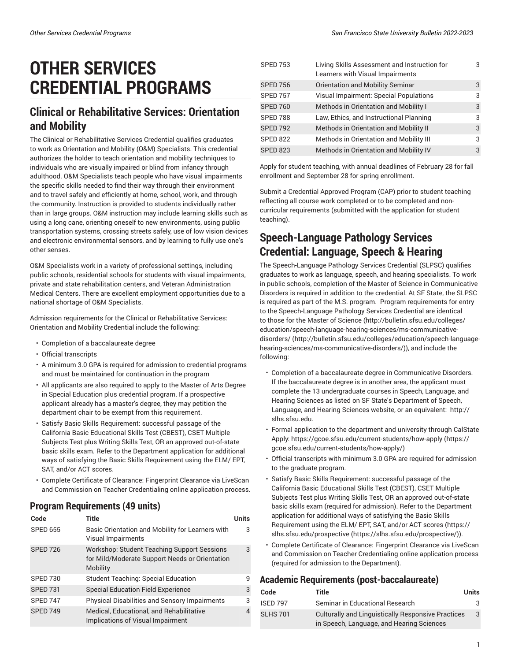# **OTHER SERVICES CREDENTIAL PROGRAMS**

## **Clinical or Rehabilitative Services: Orientation and Mobility**

The Clinical or Rehabilitative Services Credential qualifies graduates to work as Orientation and Mobility (O&M) Specialists. This credential authorizes the holder to teach orientation and mobility techniques to individuals who are visually impaired or blind from infancy through adulthood. O&M Specialists teach people who have visual impairments the specific skills needed to find their way through their environment and to travel safely and efficiently at home, school, work, and through the community. Instruction is provided to students individually rather than in large groups. O&M instruction may include learning skills such as using a long cane, orienting oneself to new environments, using public transportation systems, crossing streets safely, use of low vision devices and electronic environmental sensors, and by learning to fully use one's other senses.

O&M Specialists work in a variety of professional settings, including public schools, residential schools for students with visual impairments, private and state rehabilitation centers, and Veteran Administration Medical Centers. There are excellent employment opportunities due to a national shortage of O&M Specialists.

Admission requirements for the Clinical or Rehabilitative Services: Orientation and Mobility Credential include the following:

- Completion of a baccalaureate degree
- Official transcripts
- A minimum 3.0 GPA is required for admission to credential programs and must be maintained for continuation in the program
- All applicants are also required to apply to the Master of Arts Degree in Special Education plus credential program. If a prospective applicant already has a master's degree, they may petition the department chair to be exempt from this requirement.
- Satisfy Basic Skills Requirement: successful passage of the California Basic Educational Skills Test (CBEST), CSET Multiple Subjects Test plus Writing Skills Test, OR an approved out-of-state basic skills exam. Refer to the Department application for additional ways of satisfying the Basic Skills Requirement using the ELM/ EPT, SAT, and/or ACT scores.
- Complete Certificate of Clearance: Fingerprint Clearance via LiveScan and Commission on Teacher Credentialing online application process.

### **Program Requirements (49 units)**

| Code            | Title                                                                                                            | Units |
|-----------------|------------------------------------------------------------------------------------------------------------------|-------|
| <b>SPED 655</b> | Basic Orientation and Mobility for Learners with<br>Visual Impairments                                           | 3     |
| <b>SPED 726</b> | <b>Workshop: Student Teaching Support Sessions</b><br>for Mild/Moderate Support Needs or Orientation<br>Mobility | 3     |
| SPED 730        | <b>Student Teaching: Special Education</b>                                                                       | q     |
| <b>SPED 731</b> | <b>Special Education Field Experience</b>                                                                        | 3     |
| SPED 747        | <b>Physical Disabilities and Sensory Impairments</b>                                                             | 3     |
| <b>SPED 749</b> | Medical, Educational, and Rehabilitative<br>Implications of Visual Impairment                                    | 4     |

| <b>SPED 753</b> | Living Skills Assessment and Instruction for<br>Learners with Visual Impairments | 3 |
|-----------------|----------------------------------------------------------------------------------|---|
| <b>SPED 756</b> | Orientation and Mobility Seminar                                                 | 3 |
| <b>SPED 757</b> | Visual Impairment: Special Populations                                           | 3 |
| <b>SPED 760</b> | Methods in Orientation and Mobility I                                            | 3 |
| <b>SPED 788</b> | Law, Ethics, and Instructional Planning                                          | 3 |
| <b>SPED 792</b> | Methods in Orientation and Mobility II                                           | 3 |
| <b>SPED 822</b> | Methods in Orientation and Mobility III                                          | 3 |
| <b>SPED 823</b> | Methods in Orientation and Mobility IV                                           | 3 |

Apply for student teaching, with annual deadlines of February 28 for fall enrollment and September 28 for spring enrollment.

Submit a Credential Approved Program (CAP) prior to student teaching reflecting all course work completed or to be completed and noncurricular requirements (submitted with the application for student teaching).

# **Speech-Language Pathology Services Credential: Language, Speech & Hearing**

The Speech-Language Pathology Services Credential (SLPSC) qualifies graduates to work as language, speech, and hearing specialists. To work in public schools, completion of the Master of Science in Communicative Disorders is required in addition to the credential. At SF State, the SLPSC is required as part of the M.S. program. Program requirements for entry to the Speech-Language Pathology Services Credential are identical to those for the Master of Science [\(http://bulletin.sfsu.edu/colleges/](http://bulletin.sfsu.edu/colleges/education/speech-language-hearing-sciences/ms-communicative-disorders/) [education/speech-language-hearing-sciences/ms-communicative](http://bulletin.sfsu.edu/colleges/education/speech-language-hearing-sciences/ms-communicative-disorders/)[disorders/](http://bulletin.sfsu.edu/colleges/education/speech-language-hearing-sciences/ms-communicative-disorders/) ([http://bulletin.sfsu.edu/colleges/education/speech-language](http://bulletin.sfsu.edu/colleges/education/speech-language-hearing-sciences/ms-communicative-disorders/)[hearing-sciences/ms-communicative-disorders/\)](http://bulletin.sfsu.edu/colleges/education/speech-language-hearing-sciences/ms-communicative-disorders/)), and include the following:

- Completion of a baccalaureate degree in Communicative Disorders. If the baccalaureate degree is in another area, the applicant must complete the 13 undergraduate courses in Speech, Language, and Hearing Sciences as listed on SF State's Department of Speech, Language, and Hearing Sciences website, or an equivalent: [http://](http://slhs.sfsu.edu) [slhs.sfsu.edu.](http://slhs.sfsu.edu)
- Formal application to the department and university through CalState Apply: [https://gcoe.sfsu.edu/current-students/how-apply](https://gcoe.sfsu.edu/current-students/how-apply/) ([https://](https://gcoe.sfsu.edu/current-students/how-apply/) [gcoe.sfsu.edu/current-students/how-apply/\)](https://gcoe.sfsu.edu/current-students/how-apply/)
- Official transcripts with minimum 3.0 GPA are required for admission to the graduate program.
- Satisfy Basic Skills Requirement: successful passage of the California Basic Educational Skills Test (CBEST), CSET Multiple Subjects Test plus Writing Skills Test, OR an approved out-of-state basic skills exam (required for admission). Refer to the Department application for additional ways of satisfying the Basic Skills Requirement using the ELM/ EPT, SAT, and/or ACT scores ([https://](https://slhs.sfsu.edu/prospective/) [slhs.sfsu.edu/prospective \(https://slhs.sfsu.edu/prospective/\)](https://slhs.sfsu.edu/prospective/)).
- Complete Certificate of Clearance: Fingerprint Clearance via LiveScan and Commission on Teacher Credentialing online application process (required for admission to the Department).

#### **Academic Requirements (post-baccalaureate)**

| Code            | Title                                                                                                  | Units |
|-----------------|--------------------------------------------------------------------------------------------------------|-------|
| <b>ISED 797</b> | Seminar in Educational Research                                                                        | З.    |
| <b>SLHS 701</b> | <b>Culturally and Linguistically Responsive Practices</b><br>in Speech, Language, and Hearing Sciences | 3     |